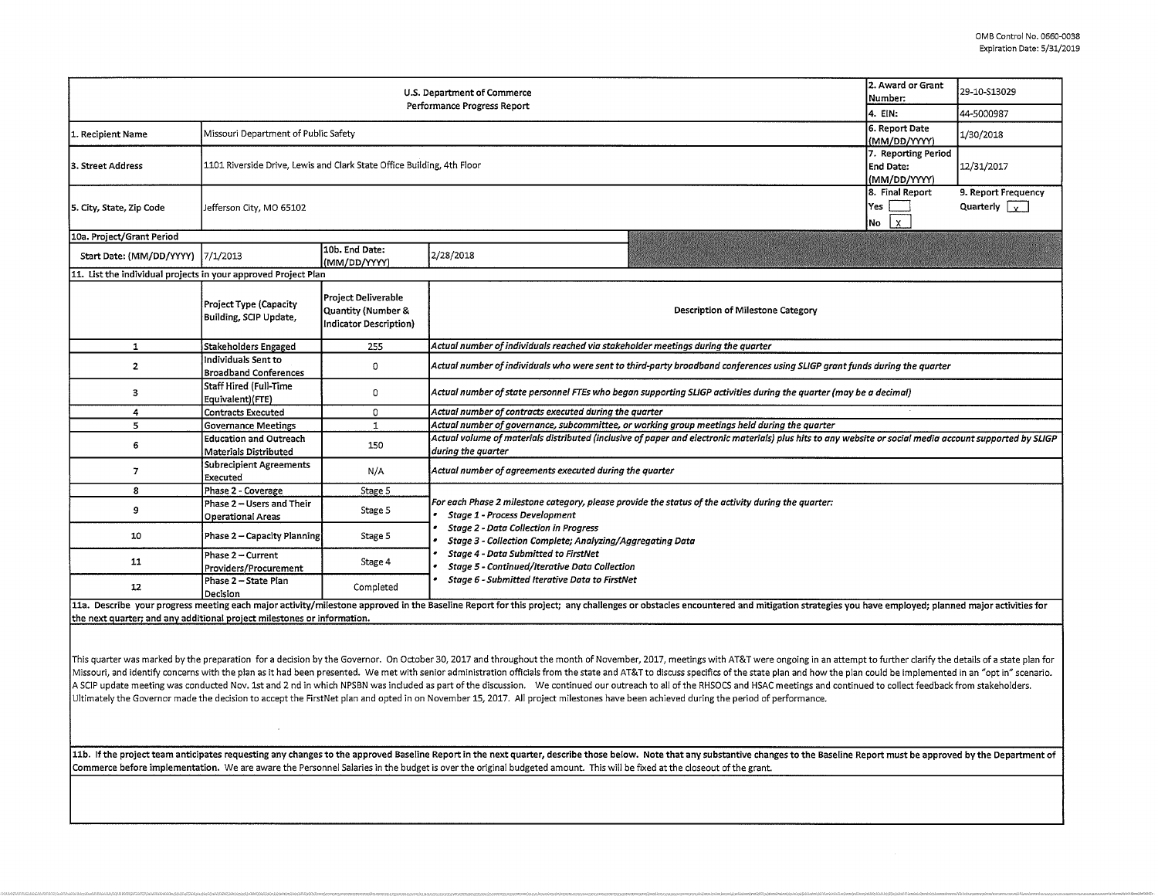| 2. Award or Grant<br>U.S. Department of Commerce<br>Number:<br>Performance Progress Report |                                                                        |                                                                            |                                                                                                                                                                                                                                |  | 29-10-S13029                                |  |  |  |  |
|--------------------------------------------------------------------------------------------|------------------------------------------------------------------------|----------------------------------------------------------------------------|--------------------------------------------------------------------------------------------------------------------------------------------------------------------------------------------------------------------------------|--|---------------------------------------------|--|--|--|--|
|                                                                                            | 4. EIN:                                                                | 44-5000987                                                                 |                                                                                                                                                                                                                                |  |                                             |  |  |  |  |
| 1. Recipient Name                                                                          | Missouri Department of Public Safety                                   | 6. Report Date<br>(MM/DD/YYYY)                                             | 1/30/2018                                                                                                                                                                                                                      |  |                                             |  |  |  |  |
| 3. Street Address                                                                          | 1101 Riverside Drive, Lewis and Clark State Office Building, 4th Floor | 7. Reporting Period<br><b>End Date:</b><br>(MM/DD/YYYY)                    | 12/31/2017                                                                                                                                                                                                                     |  |                                             |  |  |  |  |
| 5. City, State, Zip Code                                                                   | Jefferson City, MO 65102                                               |                                                                            |                                                                                                                                                                                                                                |  | 9. Report Frequency<br>Quarterly $\sqrt{v}$ |  |  |  |  |
| 10a. Project/Grant Period                                                                  |                                                                        |                                                                            |                                                                                                                                                                                                                                |  |                                             |  |  |  |  |
| Start Date: (MM/DD/YYYY)  7/1/2013                                                         |                                                                        | 10b. End Date:<br>(MM/DD/YYYY)                                             | 2/28/2018                                                                                                                                                                                                                      |  |                                             |  |  |  |  |
| 11. List the individual projects in your approved Project Plan                             |                                                                        |                                                                            |                                                                                                                                                                                                                                |  |                                             |  |  |  |  |
|                                                                                            | Project Type (Capacity<br>Building, SCIP Update,                       | <b>Project Deliverable</b><br>Quantity (Number &<br>Indicator Description) | Description of Milestone Category                                                                                                                                                                                              |  |                                             |  |  |  |  |
| 1                                                                                          | Stakeholders Engaged                                                   | 255                                                                        | Actual number of individuals reached via stakeholder meetings during the quarter                                                                                                                                               |  |                                             |  |  |  |  |
| 2                                                                                          | Individuals Sent to<br><b>Broadband Conferences</b>                    | 0                                                                          | Actual number of individuals who were sent to third-party broadband conferences using SLIGP grant funds during the quarter                                                                                                     |  |                                             |  |  |  |  |
| 3                                                                                          | Staff Hired (Full-Time<br>Equivalent)(FTE)                             | $\mathbf 0$                                                                | Actual number of state personnel FTEs who began supporting SLIGP activities during the quarter (may be a decimal)                                                                                                              |  |                                             |  |  |  |  |
| 4                                                                                          | Contracts Executed                                                     | $\circ$                                                                    | Actual number of contracts executed during the quarter                                                                                                                                                                         |  |                                             |  |  |  |  |
| 5                                                                                          | Governance Meetings                                                    | $\mathbf{1}$                                                               | Actual number of governance, subcommittee, or working group meetings held during the quarter                                                                                                                                   |  |                                             |  |  |  |  |
| 6                                                                                          | <b>Education and Outreach</b><br><b>Materials Distributed</b>          | 150                                                                        | Actual volume of materials distributed (inclusive of paper and electronic materials) plus hits to any website or social media account supported by SLIGP<br>during the quarter                                                 |  |                                             |  |  |  |  |
| $\overline{7}$                                                                             | Subrecipient Agreements<br>Executed                                    | N/A                                                                        | Actual number of agreements executed during the quarter                                                                                                                                                                        |  |                                             |  |  |  |  |
| 8                                                                                          | Phase 2 - Coverage                                                     | Stage 5                                                                    |                                                                                                                                                                                                                                |  |                                             |  |  |  |  |
| 9                                                                                          | Phase 2 – Users and Their<br>Operational Areas                         | Stage 5                                                                    | For each Phase 2 milestone category, please provide the status of the activity during the quarter:<br>Stage 1 - Process Development                                                                                            |  |                                             |  |  |  |  |
| 10                                                                                         | Phase 2 - Capacity Planning                                            | Stage 5                                                                    | <b>Stage 2 - Data Collection in Progress</b><br>Stage 3 - Collection Complete; Analyzing/Aggregating Data                                                                                                                      |  |                                             |  |  |  |  |
| 11                                                                                         | Phase 2 - Current<br>Providers/Procurement                             | Stage 4                                                                    | <b>Stage 4 - Data Submitted to FirstNet</b><br>Stage 5 - Continued/Iterative Data Collection                                                                                                                                   |  |                                             |  |  |  |  |
| 12                                                                                         | Phase 2 – State Plan<br>Decision                                       | Completed                                                                  | Stage 6 - Submitted Iterative Data to FirstNet                                                                                                                                                                                 |  |                                             |  |  |  |  |
|                                                                                            |                                                                        |                                                                            | 11a. Describe your progress meeting each major activity/milestone approved in the Baseline Report for this project; any challenges or obstacles encountered and mitigation strategies you have employed; planned major activit |  |                                             |  |  |  |  |

the next quarter; and any additional project milestones or information.

This quarter was marked by the preparation for a decision by the Governor. On October 30, 2017 and throughout the month of November, 2017, meetings with AT&T were ongoing in an attempt to further clarify the details of a s Missouri, and identify concerns with the plan as it had been presented. We met with senior administration officials from the state and AT&T to discuss specifics of the state plan and how the plan could be implemented in an A SCIP update meeting was conducted Nov. 1st and 2 nd in which NPSBN was included as part of the discussion. We continued our outreach to all of the RHSOCS and HSAC meetings and continued to collect feedback from stakehold Ultimately the Governor made the decision to accept the FirstNet plan and opted in on November 15, 2017. All project milestones have been achieved during the period of performance.

11b. If the project team anticipates requesting any changes to the approved Baseline Report in the next quarter, describe those below. Note that any substantive changes to the Baseline Report must be approved by the Depart Commerce before implementation. We are aware the Personnel Salaries in the budget is over the original budgeted amount. This will be fixed at the closeout of the grant.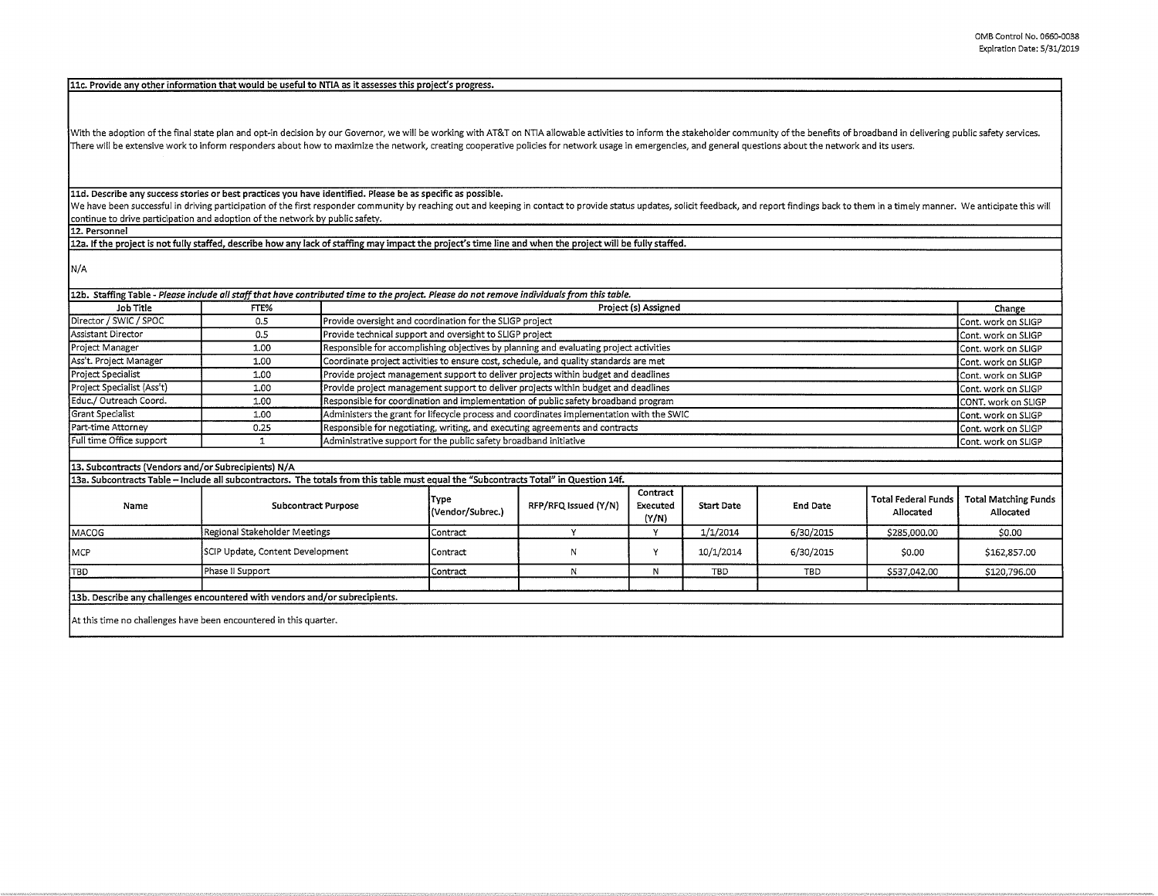**llc. Provide any other information that would be useful to NTIA as it assesses this project's progress.** 

With the adoption of the final state plan and opt-in decision by our Governor, we will be working with AT&T on NTIA allowable activities to inform the stakeholder community of the benefits of broadband in delivering public There will be extensive work to inform responders about how to maximize the network, creating cooperative policies for network usage in emergencies, and general questions about the network and its users.

**lld. Describe any success stories or best practices you have identified. Please be as specific as possible.** 

We have been successful in driving participation of the first responder community by reaching out and keeping in contact to provide status updates, solicit feedback, and report findings back to them in a timely manner. We continue to drive participation and adoption of the network by public safety.

**12. Personnel** 

12a. If the project is not fully staffed, describe how any lack of staffing may impact the project's time line and when the project will be fully staffed.

N/A

| Job Title                  | FTE%                                                                                                                                  |                                  | Project (s) Assigned                                                                                            |                      |                               |                   |                 |                                         | Change                                   |
|----------------------------|---------------------------------------------------------------------------------------------------------------------------------------|----------------------------------|-----------------------------------------------------------------------------------------------------------------|----------------------|-------------------------------|-------------------|-----------------|-----------------------------------------|------------------------------------------|
| Director / SWIC / SPOC     | 0.5                                                                                                                                   |                                  | Provide oversight and coordination for the SLIGP project                                                        |                      |                               |                   |                 |                                         | Cont. work on SLIGP                      |
| Assistant Director         | 0.5                                                                                                                                   |                                  | Provide technical support and oversight to SLIGP project<br>Cont. work on SLIGP                                 |                      |                               |                   |                 |                                         |                                          |
| Project Manager            | 1.00                                                                                                                                  |                                  | Responsible for accomplishing objectives by planning and evaluating project activities<br>Cont. work on SLIGP   |                      |                               |                   |                 |                                         |                                          |
| Ass't. Project Manager     | 1.00                                                                                                                                  |                                  | Coordinate project activities to ensure cost, schedule, and quality standards are met<br>Cont. work on SLIGP    |                      |                               |                   |                 |                                         |                                          |
| Project Specialist         | 1.00                                                                                                                                  |                                  | Provide project management support to deliver projects within budget and deadlines<br>Cont. work on SLIGP       |                      |                               |                   |                 |                                         |                                          |
| Project Specialist (Ass't) | 1.00                                                                                                                                  |                                  | Provide project management support to deliver projects within budget and deadlines<br>Cont. work on SLIGP       |                      |                               |                   |                 |                                         |                                          |
| Educ./ Outreach Coord.     | 1.00                                                                                                                                  |                                  | Responsible for coordination and implementation of public safety broadband program<br>CONT. work on SLIGP       |                      |                               |                   |                 |                                         |                                          |
| Grant Specialist           | 1.00                                                                                                                                  |                                  | Administers the grant for lifecycle process and coordinates implementation with the SWIC<br>Cont. work on SLIGP |                      |                               |                   |                 |                                         |                                          |
| Part-time Attorney         | 0.25                                                                                                                                  |                                  | Responsible for negotiating, writing, and executing agreements and contracts<br>Cont. work on SLIGP             |                      |                               |                   |                 |                                         |                                          |
| Full time Office support   | 1                                                                                                                                     |                                  | Administrative support for the public safety broadband initiative<br>Cont. work on SLIGP                        |                      |                               |                   |                 |                                         |                                          |
|                            |                                                                                                                                       |                                  |                                                                                                                 |                      |                               |                   |                 |                                         |                                          |
|                            | 13. Subcontracts (Vendors and/or Subrecipients) N/A                                                                                   |                                  |                                                                                                                 |                      |                               |                   |                 |                                         |                                          |
|                            | 13a. Subcontracts Table - Include all subcontractors. The totals from this table must equal the "Subcontracts Total" in Question 14f. |                                  |                                                                                                                 |                      |                               |                   |                 |                                         |                                          |
| Name                       |                                                                                                                                       | <b>Subcontract Purpose</b>       |                                                                                                                 | RFP/RFQ Issued (Y/N) | Contract<br>Executed<br>(Y/N) | <b>Start Date</b> | <b>End Date</b> | <b>Total Federal Funds</b><br>Allocated | <b>Total Matching Funds</b><br>Allocated |
| MACOG                      |                                                                                                                                       | Regional Stakeholder Meetings    |                                                                                                                 | v                    | Y                             | 1/1/2014          | 6/30/2015       | \$285,000,00                            | \$0.00                                   |
| MCP                        |                                                                                                                                       | SCIP Update, Content Development |                                                                                                                 | N                    | Y                             | 10/1/2014         | 6/30/2015       | \$0.00                                  | \$162,857.00                             |
| TBD.                       | Phase II Support                                                                                                                      |                                  | Contract                                                                                                        | N                    | N                             | TBD               | TBD             | \$537,042.00                            | \$120,796.00                             |
|                            | 13b. Describe any challenges encountered with vendors and/or subrecipients.                                                           |                                  |                                                                                                                 |                      |                               |                   |                 |                                         |                                          |
|                            |                                                                                                                                       |                                  |                                                                                                                 |                      |                               |                   |                 |                                         |                                          |